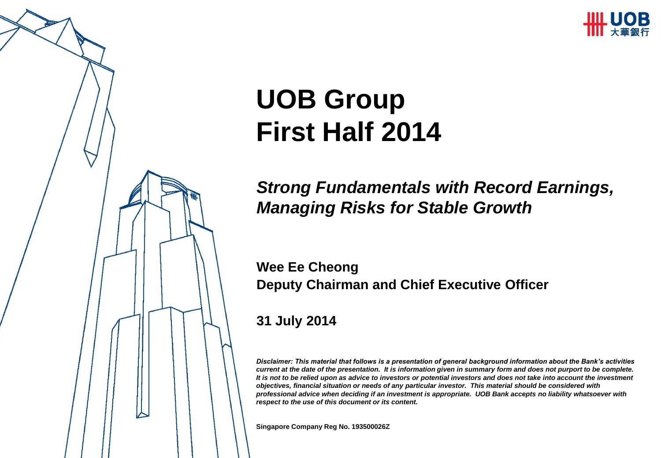

# **UOB Group First Half 2014**

#### *Strong Fundamentals with Record Earnings, Managing Risks for Stable Growth*

**Wee Ee Cheong Deputy Chairman and Chief Executive Officer**

**31 July 2014**

*Disclaimer: This material that follows is a presentation of general background information about the Bank's activities current at the date of the presentation. It is information given in summary form and does not purport to be complete. It is not to be relied upon as advice to investors or potential investors and does not take into account the investment objectives, financial situation or needs of any particular investor. This material should be considered with professional advice when deciding if an investment is appropriate. UOB Bank accepts no liability whatsoever with respect to the use of this document or its content.*

**Singapore Company Reg No. 193500026Z**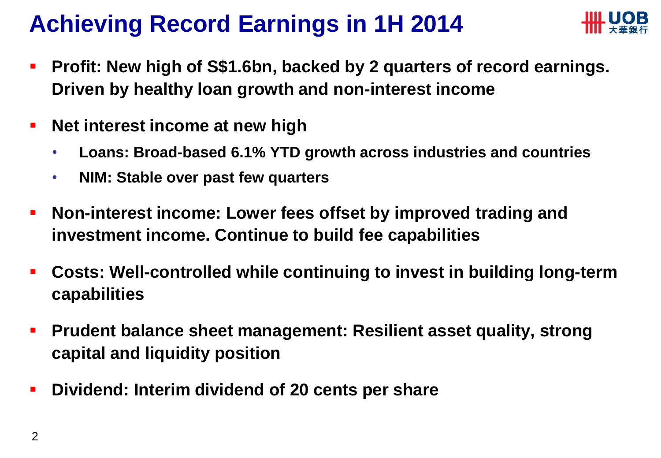#### **Achieving Record Earnings in 1H 2014**



- **Profit: New high of S\$1.6bn, backed by 2 quarters of record earnings. Driven by healthy loan growth and non-interest income**
- **Net interest income at new high** 
	- **Loans: Broad-based 6.1% YTD growth across industries and countries**
	- **NIM: Stable over past few quarters**
- **Non-interest income: Lower fees offset by improved trading and investment income. Continue to build fee capabilities**
- **Costs: Well-controlled while continuing to invest in building long-term capabilities**
- **Prudent balance sheet management: Resilient asset quality, strong capital and liquidity position**
- **Dividend: Interim dividend of 20 cents per share**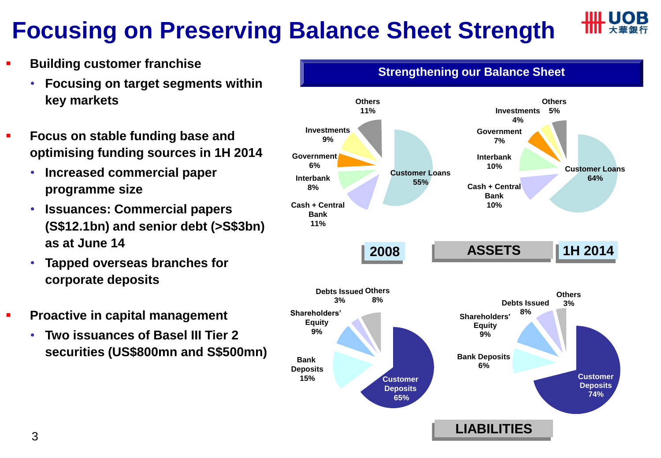## **Focusing on Preserving Balance Sheet Strength**



- **Building customer franchise**
	- **Focusing on target segments within key markets**
- **Focus on stable funding base and optimising funding sources in 1H 2014**
	- **Increased commercial paper programme size**
	- **Issuances: Commercial papers (S\$12.1bn) and senior debt (>S\$3bn) as at June 14**
	- **Tapped overseas branches for corporate deposits**
- **Proactive in capital management** 
	- **Two issuances of Basel III Tier 2 securities (US\$800mn and S\$500mn)**

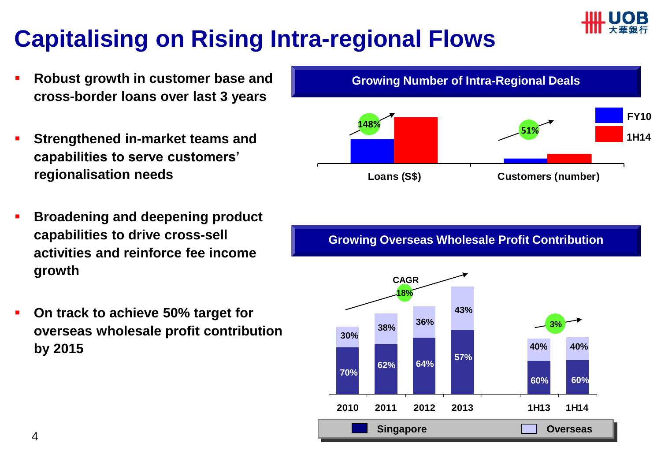

### **Capitalising on Rising Intra-regional Flows**

- **Robust growth in customer base and cross-border loans over last 3 years**
- **Strengthened in-market teams and capabilities to serve customers' regionalisation needs**
- **Broadening and deepening product capabilities to drive cross-sell activities and reinforce fee income growth**
- **On track to achieve 50% target for overseas wholesale profit contribution by 2015**



**Growing Overseas Wholesale Profit Contribution**

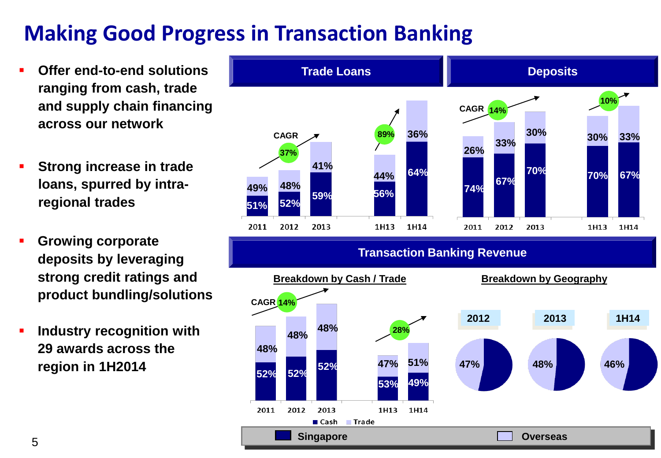#### **Making Good Progress in Transaction Banking**

- **Offer end-to-end solutions ranging from cash, trade and supply chain financing across our network**
- **Strong increase in trade loans, spurred by intraregional trades**
- **Growing corporate deposits by leveraging strong credit ratings and product bundling/solutions**
- **Industry recognition with 29 awards across the region in 1H2014**

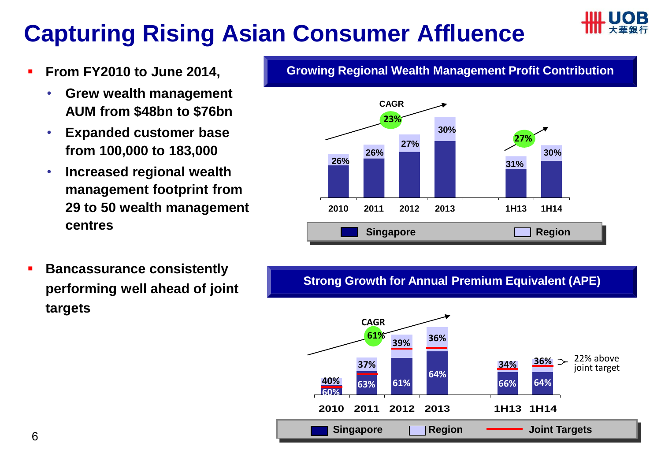### **Capturing Rising Asian Consumer Affluence**



- **From FY2010 to June 2014,** 
	- **Grew wealth management AUM from \$48bn to \$76bn**
	- **Expanded customer base from 100,000 to 183,000**
	- **Increased regional wealth management footprint from 29 to 50 wealth management centres**

**Growing Regional Wealth Management Profit Contribution**



 **Bancassurance consistently performing well ahead of joint targets** 

**Strong Growth for Annual Premium Equivalent (APE)**